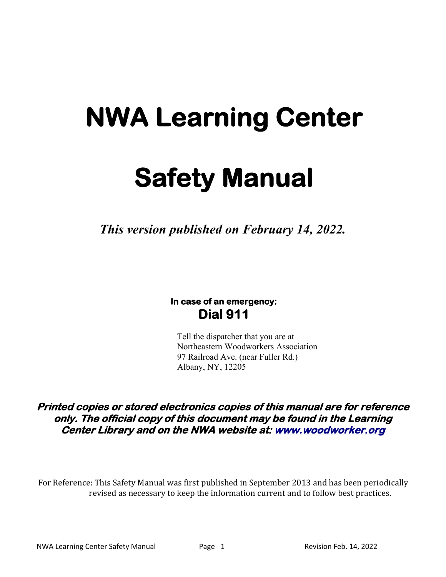# **NWA Learning Center**

# **Safety Manual**

*This version published on February 14, 2022.*

# **In case of an emergency: Dial 911**

Tell the dispatcher that you are at Northeastern Woodworkers Association 97 Railroad Ave. (near Fuller Rd.) Albany, NY, 12205

**Printed copies or stored electronics copies of this manual are for reference only. The official copy of this document may be found in the Learning Center Library and on the NWA website at: www.woodworker.org**

For Reference: This Safety Manual was first published in September 2013 and has been periodically revised as necessary to keep the information current and to follow best practices.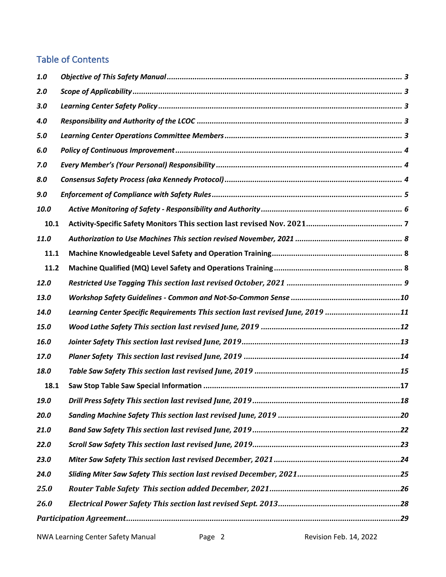# Table of Contents

| 1.0  |                                                                               |
|------|-------------------------------------------------------------------------------|
| 2.0  |                                                                               |
| 3.0  |                                                                               |
| 4.0  |                                                                               |
| 5.0  |                                                                               |
| 6.0  |                                                                               |
| 7.0  |                                                                               |
| 8.0  |                                                                               |
| 9.0  |                                                                               |
| 10.0 |                                                                               |
| 10.1 |                                                                               |
| 11.0 |                                                                               |
| 11.1 |                                                                               |
| 11.2 |                                                                               |
| 12.0 |                                                                               |
| 13.0 |                                                                               |
| 14.0 | Learning Center Specific Requirements This section last revised June, 2019 11 |
| 15.0 |                                                                               |
| 16.0 |                                                                               |
| 17.0 |                                                                               |
| 18.0 |                                                                               |
| 18.1 |                                                                               |
| 19.0 |                                                                               |
| 20.0 |                                                                               |
| 21.0 |                                                                               |
| 22.0 |                                                                               |
| 23.0 |                                                                               |
| 24.0 |                                                                               |
| 25.0 |                                                                               |
| 26.0 |                                                                               |
|      |                                                                               |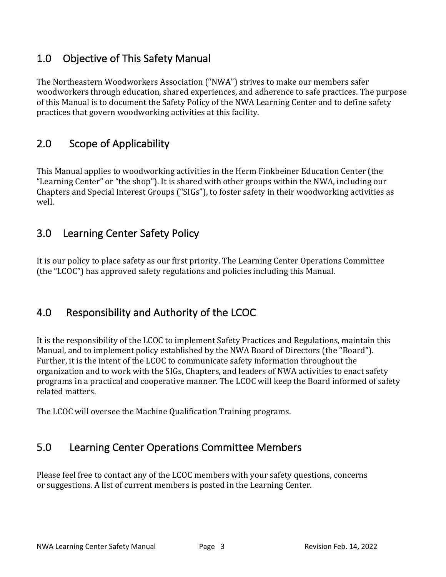# 1.0 Objective of This Safety Manual

The Northeastern Woodworkers Association ("NWA") strives to make our members safer woodworkers through education, shared experiences, and adherence to safe practices. The purpose of this Manual is to document the Safety Policy of the NWA Learning Center and to define safety practices that govern woodworking activities at this facility.

# 2.0 Scope of Applicability

This Manual applies to woodworking activities in the Herm Finkbeiner Education Center (the "Learning Center" or "the shop"). It is shared with other groups within the NWA, including our Chapters and Special Interest Groups ("SIGs"), to foster safety in their woodworking activities as well.

# 3.0 Learning Center Safety Policy

It is our policy to place safety as our first priority. The Learning Center Operations Committee (the "LCOC") has approved safety regulations and policies including this Manual.

# 4.0 Responsibility and Authority of the LCOC

It is the responsibility of the LCOC to implement Safety Practices and Regulations, maintain this Manual, and to implement policy established by the NWA Board of Directors (the "Board"). Further, it is the intent of the LCOC to communicate safety information throughout the organization and to work with the SIGs, Chapters, and leaders of NWA activities to enact safety programs in a practical and cooperative manner. The LCOC will keep the Board informed of safety related matters.

The LCOC will oversee the Machine Qualification Training programs.

# 5.0 Learning Center Operations Committee Members

Please feel free to contact any of the LCOC members with your safety questions, concerns or suggestions. A list of current members is posted in the Learning Center.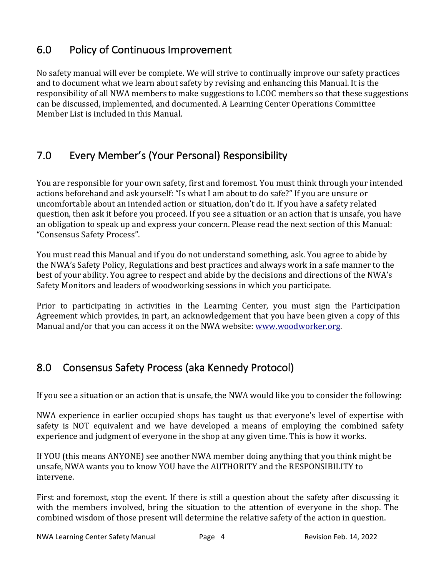# 6.0 Policy of Continuous Improvement

No safety manual will ever be complete. We will strive to continually improve our safety practices and to document what we learn about safety by revising and enhancing this Manual. It is the responsibility of all NWA members to make suggestions to LCOC members so that these suggestions can be discussed, implemented, and documented. A Learning Center Operations Committee Member List is included in this Manual

# 7.0 Every Member's (Your Personal) Responsibility

You are responsible for your own safety, first and foremost. You must think through your intended actions beforehand and ask yourself: "Is what I am about to do safe?" If you are unsure or uncomfortable about an intended action or situation, don't do it. If you have a safety related question, then ask it before you proceed. If you see a situation or an action that is unsafe, you have an obligation to speak up and express your concern. Please read the next section of this Manual: "Consensus Safety Process".

You must read this Manual and if you do not understand something, ask. You agree to abide by the NWA's Safety Policy, Regulations and best practices and always work in a safe manner to the best of your ability. You agree to respect and abide by the decisions and directions of the NWA's Safety Monitors and leaders of woodworking sessions in which you participate.

Prior to participating in activities in the Learning Center, you must sign the Participation Agreement which provides, in part, an acknowledgement that you have been given a copy of this Manual and/or that you can access it on the NWA website: www.woodworker.org.

# 8.0 Consensus Safety Process (aka Kennedy Protocol)

If you see a situation or an action that is unsafe, the NWA would like you to consider the following:

NWA experience in earlier occupied shops has taught us that everyone's level of expertise with safety is NOT equivalent and we have developed a means of employing the combined safety experience and judgment of everyone in the shop at any given time. This is how it works.

If YOU (this means ANYONE) see another NWA member doing anything that you think might be unsafe, NWA wants you to know YOU have the AUTHORITY and the RESPONSIBILITY to intervene.

First and foremost, stop the event. If there is still a question about the safety after discussing it with the members involved, bring the situation to the attention of everyone in the shop. The combined wisdom of those present will determine the relative safety of the action in question.

NWA Learning Center Safety Manual Page 4 Revision Feb. 14, 2022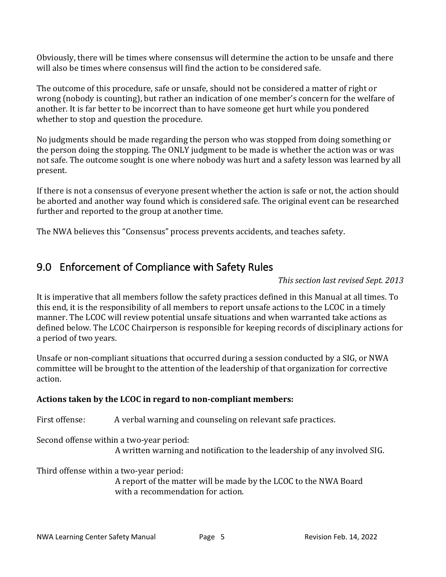Obviously, there will be times where consensus will determine the action to be unsafe and there will also be times where consensus will find the action to be considered safe.

The outcome of this procedure, safe or unsafe, should not be considered a matter of right or wrong (nobody is counting), but rather an indication of one member's concern for the welfare of another. It is far better to be incorrect than to have someone get hurt while you pondered whether to stop and question the procedure.

No judgments should be made regarding the person who was stopped from doing something or the person doing the stopping. The ONLY judgment to be made is whether the action was or was not safe. The outcome sought is one where nobody was hurt and a safety lesson was learned by all present.

If there is not a consensus of everyone present whether the action is safe or not, the action should be aborted and another way found which is considered safe. The original event can be researched further and reported to the group at another time.

The NWA believes this "Consensus" process prevents accidents, and teaches safety.

# 9.0 Enforcement of Compliance with Safety Rules

*This section last revised Sept. 2013*

It is imperative that all members follow the safety practices defined in this Manual at all times. To this end, it is the responsibility of all members to report unsafe actions to the LCOC in a timely manner. The LCOC will review potential unsafe situations and when warranted take actions as defined below. The LCOC Chairperson is responsible for keeping records of disciplinary actions for a period of two years.

Unsafe or non-compliant situations that occurred during a session conducted by a SIG, or NWA committee will be brought to the attention of the leadership of that organization for corrective action.

### Actions taken by the LCOC in regard to non-compliant members:

First offense: A verbal warning and counseling on relevant safe practices.

Second offense within a two-year period:

A written warning and notification to the leadership of any involved SIG.

Third offense within a two-year period:

A report of the matter will be made by the LCOC to the NWA Board with a recommendation for action.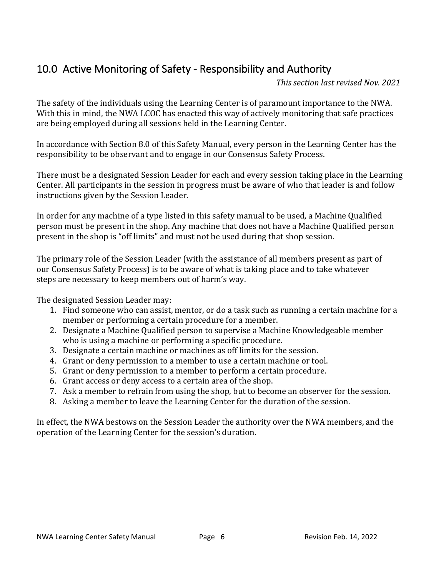# 10.0 Active Monitoring of Safety - Responsibility and Authority

*This section last revised Nov. 2021*

The safety of the individuals using the Learning Center is of paramount importance to the NWA. With this in mind, the NWA LCOC has enacted this way of actively monitoring that safe practices are being employed during all sessions held in the Learning Center.

In accordance with Section 8.0 of this Safety Manual, every person in the Learning Center has the responsibility to be observant and to engage in our Consensus Safety Process.

There must be a designated Session Leader for each and every session taking place in the Learning Center. All participants in the session in progress must be aware of who that leader is and follow instructions given by the Session Leader.

In order for any machine of a type listed in this safety manual to be used, a Machine Qualified person must be present in the shop. Any machine that does not have a Machine Qualified person present in the shop is "off limits" and must not be used during that shop session.

The primary role of the Session Leader (with the assistance of all members present as part of our Consensus Safety Process) is to be aware of what is taking place and to take whatever steps are necessary to keep members out of harm's way.

The designated Session Leader may:

- 1. Find someone who can assist, mentor, or do a task such as running a certain machine for a member or performing a certain procedure for a member.
- 2. Designate a Machine Qualified person to supervise a Machine Knowledgeable member who is using a machine or performing a specific procedure.
- 3. Designate a certain machine or machines as off limits for the session.
- 4. Grant or deny permission to a member to use a certain machine or tool.
- 5. Grant or deny permission to a member to perform a certain procedure.
- 6. Grant access or deny access to a certain area of the shop.
- 7. Ask a member to refrain from using the shop, but to become an observer for the session.
- 8. Asking a member to leave the Learning Center for the duration of the session.

In effect, the NWA bestows on the Session Leader the authority over the NWA members, and the operation of the Learning Center for the session's duration.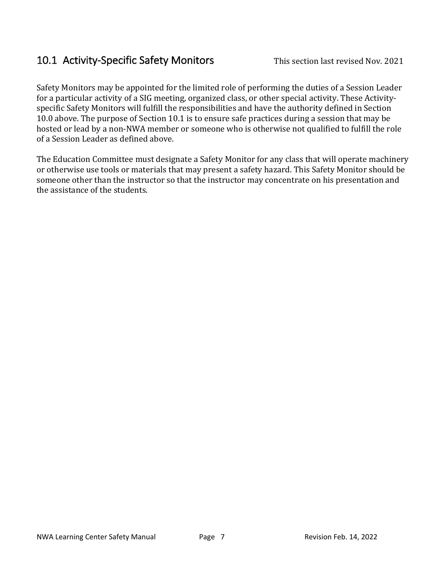# 10.1 Activity-Specific Safety Monitors This section last revised Nov. 2021

Safety Monitors may be appointed for the limited role of performing the duties of a Session Leader for a particular activity of a SIG meeting, organized class, or other special activity. These Activityspecific Safety Monitors will fulfill the responsibilities and have the authority defined in Section 10.0 above. The purpose of Section 10.1 is to ensure safe practices during a session that may be hosted or lead by a non-NWA member or someone who is otherwise not qualified to fulfill the role of a Session Leader as defined above.

The Education Committee must designate a Safety Monitor for any class that will operate machinery or otherwise use tools or materials that may present a safety hazard. This Safety Monitor should be someone other than the instructor so that the instructor may concentrate on his presentation and the assistance of the students.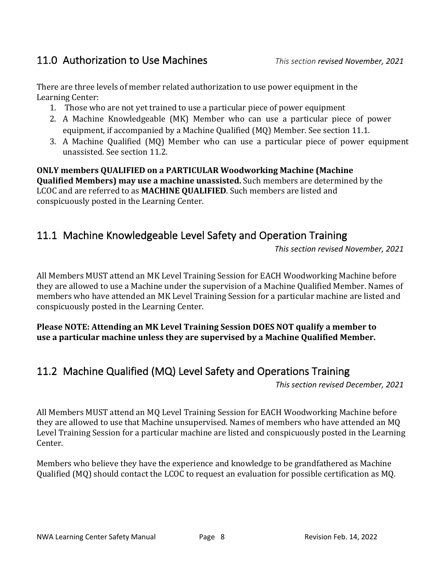# 11.0 Authorization to Use Machines *This section revised November, 2021*

There are three levels of member related authorization to use power equipment in the Learning Center:

- 1. Those who are not yet trained to use a particular piece of power equipment
- 2. A Machine Knowledgeable (MK) Member who can use a particular piece of power equipment, if accompanied by a Machine Qualified  $(MQ)$  Member. See section 11.1.
- 3. A Machine Qualified (MQ) Member who can use a particular piece of power equipment unassisted. See section 11.2.

**ONLY members QUALIFIED on a PARTICULAR Woodworking Machine (Machine Qualified Members) may use a machine unassisted.** Such members are determined by the LCOC and are referred to as **MACHINE QUALIFIED**. Such members are listed and conspicuously posted in the Learning Center.

# 11.1 Machine Knowledgeable Level Safety and Operation Training

*This section revised November, 2021*

All Members MUST attend an MK Level Training Session for EACH Woodworking Machine before they are allowed to use a Machine under the supervision of a Machine Qualified Member. Names of members who have attended an MK Level Training Session for a particular machine are listed and conspicuously posted in the Learning Center.

**Please NOTE: Attending an MK Level Training Session DOES NOT qualify a member to** use a particular machine unless they are supervised by a Machine Qualified Member.

# 11.2 Machine Qualified (MQ) Level Safety and Operations Training

*This section revised December, 2021*

All Members MUST attend an MQ Level Training Session for EACH Woodworking Machine before they are allowed to use that Machine unsupervised. Names of members who have attended an MQ Level Training Session for a particular machine are listed and conspicuously posted in the Learning Center.

Members who believe they have the experience and knowledge to be grandfathered as Machine Qualified (MQ) should contact the LCOC to request an evaluation for possible certification as MQ.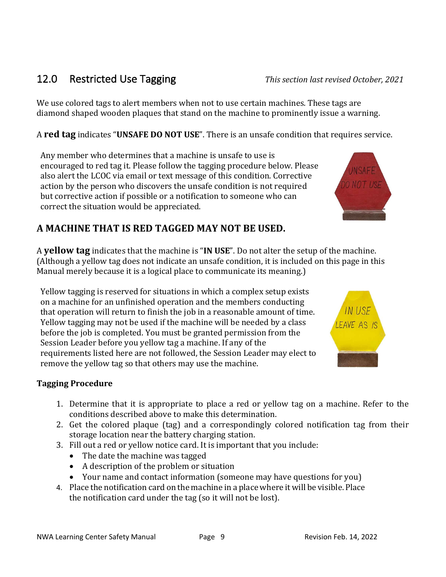# 12.0 Restricted Use Tagging **This section last revised October**, 2021

We use colored tags to alert members when not to use certain machines. These tags are diamond shaped wooden plaques that stand on the machine to prominently issue a warning.

A **red tag** indicates "UNSAFE DO NOT USE". There is an unsafe condition that requires service.

Any member who determines that a machine is unsafe to use is encouraged to red tag it. Please follow the tagging procedure below. Please also alert the LCOC via email or text message of this condition. Corrective action by the person who discovers the unsafe condition is not required but corrective action if possible or a notification to someone who can correct the situation would be appreciated.

# A MACHINE THAT IS RED TAGGED MAY NOT BE USED.

A **yellow tag** indicates that the machine is "IN USE". Do not alter the setup of the machine. (Although a yellow tag does not indicate an unsafe condition, it is included on this page in this Manual merely because it is a logical place to communicate its meaning.)

Yellow tagging is reserved for situations in which a complex setup exists on a machine for an unfinished operation and the members conducting that operation will return to finish the job in a reasonable amount of time. Yellow tagging may not be used if the machine will be needed by a class before the job is completed. You must be granted permission from the Session Leader before you yellow tag a machine. If any of the requirements listed here are not followed, the Session Leader may elect to remove the yellow tag so that others may use the machine.

# **Tagging Procedure**

- 1. Determine that it is appropriate to place a red or yellow tag on a machine. Refer to the conditions described above to make this determination.
- 2. Get the colored plaque (tag) and a correspondingly colored notification tag from their storage location near the battery charging station.
- 3. Fill out a red or yellow notice card. It is important that you include:
	- The date the machine was tagged
	- A description of the problem or situation
	- Your name and contact information (someone may have questions for you)
- 4. Place the notification card on the machine in a place where it will be visible. Place the notification card under the tag (so it will not be lost).



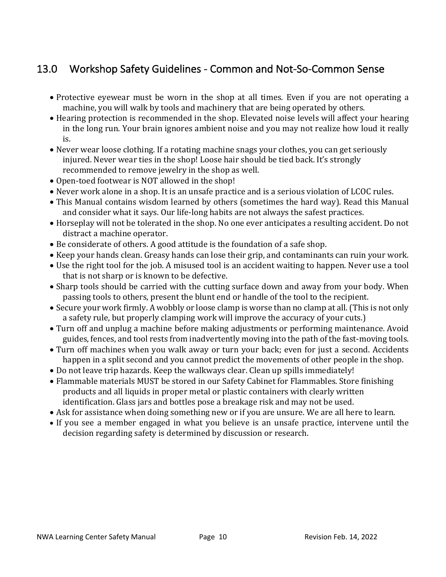# 13.0 Workshop Safety Guidelines - Common and Not-So-Common Sense

- Protective eyewear must be worn in the shop at all times. Even if you are not operating a machine, you will walk by tools and machinery that are being operated by others.
- Hearing protection is recommended in the shop. Elevated noise levels will affect your hearing in the long run. Your brain ignores ambient noise and you may not realize how loud it really is.
- Never wear loose clothing. If a rotating machine snags your clothes, you can get seriously injured. Never wear ties in the shop! Loose hair should be tied back. It's strongly recommended to remove jewelry in the shop as well.
- Open-toed footwear is NOT allowed in the shop!
- Never work alone in a shop. It is an unsafe practice and is a serious violation of LCOC rules.
- This Manual contains wisdom learned by others (sometimes the hard way). Read this Manual and consider what it says. Our life-long habits are not always the safest practices.
- Horseplay will not be tolerated in the shop. No one ever anticipates a resulting accident. Do not distract a machine operator.
- Be considerate of others. A good attitude is the foundation of a safe shop.
- Keep your hands clean. Greasy hands can lose their grip, and contaminants can ruin your work.
- Use the right tool for the job. A misused tool is an accident waiting to happen. Never use a tool that is not sharp or is known to be defective.
- Sharp tools should be carried with the cutting surface down and away from your body. When passing tools to others, present the blunt end or handle of the tool to the recipient.
- Secure your work firmly. A wobbly or loose clamp is worse than no clamp at all. (This is not only a safety rule, but properly clamping work will improve the accuracy of your cuts.)
- Turn off and unplug a machine before making adjustments or performing maintenance. Avoid guides, fences, and tool rests from inadvertently moving into the path of the fast-moving tools.
- Turn off machines when you walk away or turn your back; even for just a second. Accidents happen in a split second and you cannot predict the movements of other people in the shop.
- Do not leave trip hazards. Keep the walkways clear. Clean up spills immediately!
- Flammable materials MUST be stored in our Safety Cabinet for Flammables. Store finishing products and all liquids in proper metal or plastic containers with clearly written identification. Glass jars and bottles pose a breakage risk and may not be used.
- Ask for assistance when doing something new or if you are unsure. We are all here to learn.
- If you see a member engaged in what you believe is an unsafe practice, intervene until the decision regarding safety is determined by discussion or research.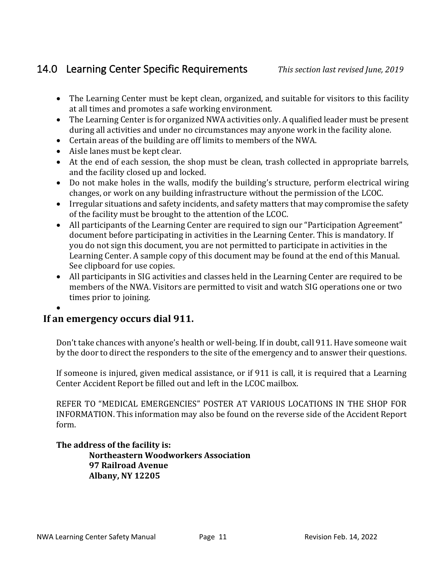# 14.0 Learning Center Specific Requirements *This section last revised June, 2019*

- The Learning Center must be kept clean, organized, and suitable for visitors to this facility at all times and promotes a safe working environment.
- The Learning Center is for organized NWA activities only. A qualified leader must be present during all activities and under no circumstances may anyone work in the facility alone.
- Certain areas of the building are off limits to members of the NWA.
- Aisle lanes must be kept clear.
- At the end of each session, the shop must be clean, trash collected in appropriate barrels, and the facility closed up and locked.
- Do not make holes in the walls, modify the building's structure, perform electrical wiring changes, or work on any building infrastructure without the permission of the LCOC.
- Irregular situations and safety incidents, and safety matters that may compromise the safety of the facility must be brought to the attention of the LCOC.
- All participants of the Learning Center are required to sign our "Participation Agreement" document before participating in activities in the Learning Center. This is mandatory. If you do not sign this document, you are not permitted to participate in activities in the Learning Center. A sample copy of this document may be found at the end of this Manual. See clipboard for use copies.
- All participants in SIG activities and classes held in the Learning Center are required to be members of the NWA. Visitors are permitted to visit and watch SIG operations one or two times prior to joining.

#### • **If an emergency occurs dial 911.**

Don't take chances with anyone's health or well-being. If in doubt, call 911. Have someone wait by the door to direct the responders to the site of the emergency and to answer their questions.

If someone is injured, given medical assistance, or if  $911$  is call, it is required that a Learning Center Accident Report be filled out and left in the LCOC mailbox.

REFER TO "MEDICAL EMERGENCIES" POSTER AT VARIOUS LOCATIONS IN THE SHOP FOR INFORMATION. This information may also be found on the reverse side of the Accident Report form.

The address of the facility is: **Northeastern Woodworkers Association 97 Railroad Avenue Albany, NY 12205**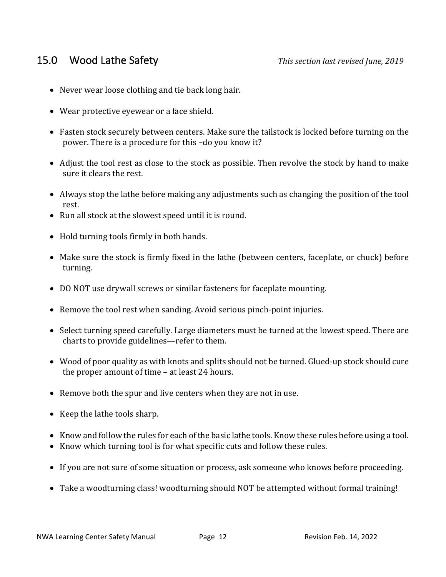- Never wear loose clothing and tie back long hair.
- Wear protective eyewear or a face shield.
- Fasten stock securely between centers. Make sure the tailstock is locked before turning on the power. There is a procedure for this -do you know it?
- Adjust the tool rest as close to the stock as possible. Then revolve the stock by hand to make sure it clears the rest.
- Always stop the lathe before making any adjustments such as changing the position of the tool rest.
- Run all stock at the slowest speed until it is round.
- Hold turning tools firmly in both hands.
- Make sure the stock is firmly fixed in the lathe (between centers, faceplate, or chuck) before turning.
- DO NOT use drywall screws or similar fasteners for faceplate mounting.
- Remove the tool rest when sanding. Avoid serious pinch-point injuries.
- Select turning speed carefully. Large diameters must be turned at the lowest speed. There are charts to provide guidelines—refer to them.
- Wood of poor quality as with knots and splits should not be turned. Glued-up stock should cure the proper amount of time  $-$  at least 24 hours.
- Remove both the spur and live centers when they are not in use.
- Keep the lathe tools sharp.
- Know and follow the rules for each of the basic lathe tools. Know these rules before using a tool.
- Know which turning tool is for what specific cuts and follow these rules.
- If you are not sure of some situation or process, ask someone who knows before proceeding.
- Take a woodturning class! woodturning should NOT be attempted without formal training!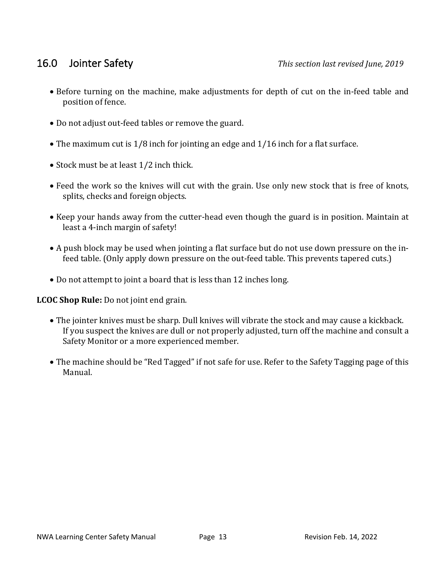- Before turning on the machine, make adjustments for depth of cut on the in-feed table and position of fence.
- Do not adjust out-feed tables or remove the guard.
- The maximum cut is  $1/8$  inch for jointing an edge and  $1/16$  inch for a flat surface.
- Stock must be at least 1/2 inch thick.
- Feed the work so the knives will cut with the grain. Use only new stock that is free of knots, splits, checks and foreign objects.
- Keep your hands away from the cutter-head even though the guard is in position. Maintain at least a 4-inch margin of safety!
- A push block may be used when jointing a flat surface but do not use down pressure on the infeed table. (Only apply down pressure on the out-feed table. This prevents tapered cuts.)
- Do not attempt to joint a board that is less than 12 inches long.

**LCOC** Shop Rule: Do not joint end grain.

- The jointer knives must be sharp. Dull knives will vibrate the stock and may cause a kickback. If you suspect the knives are dull or not properly adjusted, turn off the machine and consult a Safety Monitor or a more experienced member.
- The machine should be "Red Tagged" if not safe for use. Refer to the Safety Tagging page of this Manual.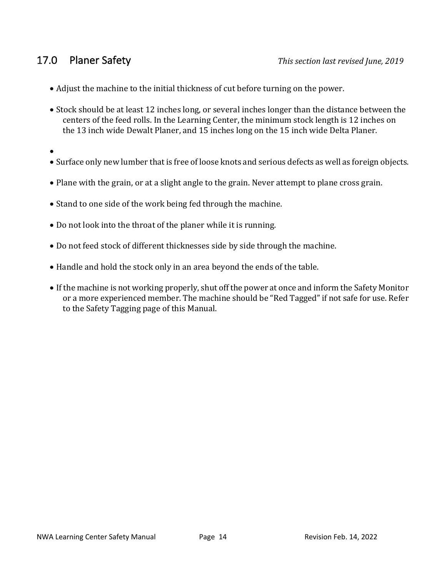- Adjust the machine to the initial thickness of cut before turning on the power.
- Stock should be at least 12 inches long, or several inches longer than the distance between the centers of the feed rolls. In the Learning Center, the minimum stock length is 12 inches on the 13 inch wide Dewalt Planer, and 15 inches long on the 15 inch wide Delta Planer.
- •
- Surface only new lumber that is free of loose knots and serious defects as well as foreign objects.
- Plane with the grain, or at a slight angle to the grain. Never attempt to plane cross grain.
- Stand to one side of the work being fed through the machine.
- Do not look into the throat of the planer while it is running.
- Do not feed stock of different thicknesses side by side through the machine.
- Handle and hold the stock only in an area beyond the ends of the table.
- If the machine is not working properly, shut off the power at once and inform the Safety Monitor or a more experienced member. The machine should be "Red Tagged" if not safe for use. Refer to the Safety Tagging page of this Manual.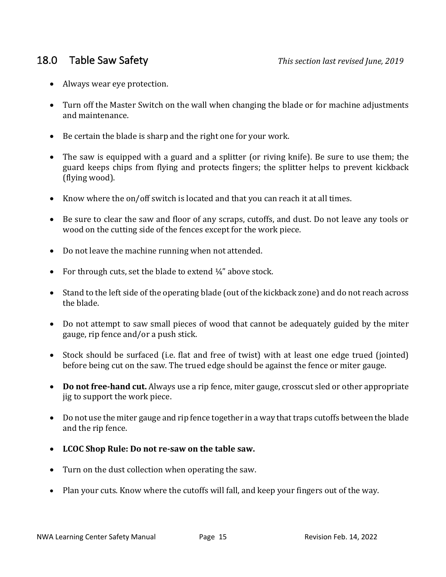- Always wear eye protection.
- Turn off the Master Switch on the wall when changing the blade or for machine adjustments and maintenance.
- Be certain the blade is sharp and the right one for your work.
- The saw is equipped with a guard and a splitter (or riving knife). Be sure to use them; the guard keeps chips from flying and protects fingers; the splitter helps to prevent kickback (flying wood).
- Know where the on/off switch is located and that you can reach it at all times.
- Be sure to clear the saw and floor of any scraps, cutoffs, and dust. Do not leave any tools or wood on the cutting side of the fences except for the work piece.
- Do not leave the machine running when not attended.
- For through cuts, set the blade to extend  $\frac{1}{4}$ " above stock.
- Stand to the left side of the operating blade (out of the kickback zone) and do not reach across the blade.
- Do not attempt to saw small pieces of wood that cannot be adequately guided by the miter gauge, rip fence and/or a push stick.
- Stock should be surfaced (i.e. flat and free of twist) with at least one edge trued (jointed) before being cut on the saw. The trued edge should be against the fence or miter gauge.
- **Do not free-hand cut.** Always use a rip fence, miter gauge, crosscut sled or other appropriate jig to support the work piece.
- Do not use the miter gauge and rip fence together in a way that traps cutoffs between the blade and the rip fence.
- LCOC Shop Rule: Do not re-saw on the table saw.
- Turn on the dust collection when operating the saw.
- Plan your cuts. Know where the cutoffs will fall, and keep your fingers out of the way.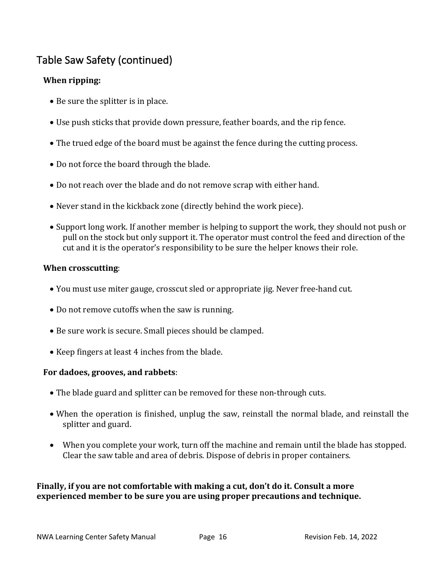# Table Saw Safety (continued)

### **When ripping:**

- Be sure the splitter is in place.
- Use push sticks that provide down pressure, feather boards, and the rip fence.
- The trued edge of the board must be against the fence during the cutting process.
- Do not force the board through the blade.
- Do not reach over the blade and do not remove scrap with either hand.
- Never stand in the kickback zone (directly behind the work piece).
- Support long work. If another member is helping to support the work, they should not push or pull on the stock but only support it. The operator must control the feed and direction of the cut and it is the operator's responsibility to be sure the helper knows their role.

#### **When crosscutting**:

- You must use miter gauge, crosscut sled or appropriate jig. Never free-hand cut.
- Do not remove cutoffs when the saw is running.
- Be sure work is secure. Small pieces should be clamped.
- Keep fingers at least 4 inches from the blade.

#### For dadoes, grooves, and rabbets:

- The blade guard and splitter can be removed for these non-through cuts.
- When the operation is finished, unplug the saw, reinstall the normal blade, and reinstall the splitter and guard.
- When you complete your work, turn off the machine and remain until the blade has stopped. Clear the saw table and area of debris. Dispose of debris in proper containers.

#### **Finally, if you are not comfortable with making a cut, don't do it. Consult a more experienced member to be sure you are using proper precautions and technique.**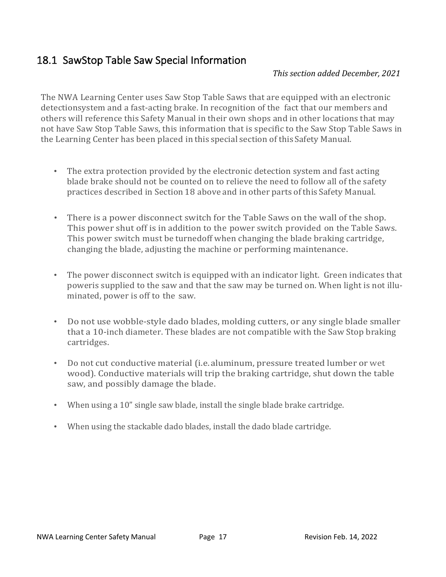# 18.1 SawStop Table Saw Special Information

#### *This section added December, 2021*

The NWA Learning Center uses Saw Stop Table Saws that are equipped with an electronic detectionsystem and a fast-acting brake. In recognition of the fact that our members and others will reference this Safety Manual in their own shops and in other locations that may not have Saw Stop Table Saws, this information that is specific to the Saw Stop Table Saws in the Learning Center has been placed in this special section of this Safety Manual.

- The extra protection provided by the electronic detection system and fast acting blade brake should not be counted on to relieve the need to follow all of the safety practices described in Section 18 above and in other parts of this Safety Manual.
- There is a power disconnect switch for the Table Saws on the wall of the shop. This power shut off is in addition to the power switch provided on the Table Saws. This power switch must be turnedoff when changing the blade braking cartridge, changing the blade, adjusting the machine or performing maintenance.
- The power disconnect switch is equipped with an indicator light. Green indicates that poweris supplied to the saw and that the saw may be turned on. When light is not illuminated, power is off to the saw.
- Do not use wobble-style dado blades, molding cutters, or any single blade smaller that a 10-inch diameter. These blades are not compatible with the Saw Stop braking cartridges.
- Do not cut conductive material (i.e. aluminum, pressure treated lumber or wet wood). Conductive materials will trip the braking cartridge, shut down the table saw, and possibly damage the blade.
- When using a 10" single saw blade, install the single blade brake cartridge.
- When using the stackable dado blades, install the dado blade cartridge.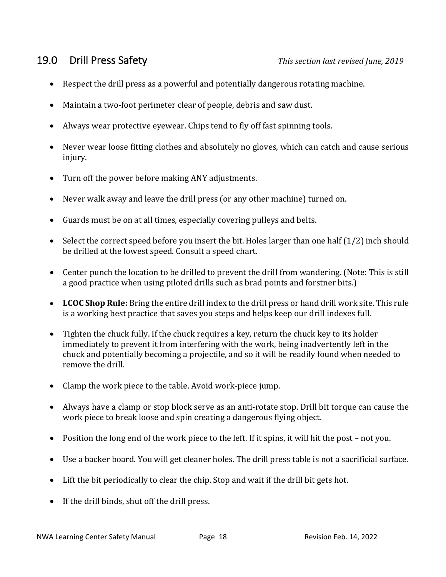- Respect the drill press as a powerful and potentially dangerous rotating machine.
- Maintain a two-foot perimeter clear of people, debris and saw dust.
- Always wear protective eyewear. Chips tend to fly off fast spinning tools.
- Never wear loose fitting clothes and absolutely no gloves, which can catch and cause serious injury.
- Turn off the power before making ANY adjustments.
- Never walk away and leave the drill press (or any other machine) turned on.
- Guards must be on at all times, especially covering pulleys and belts.
- Select the correct speed before you insert the bit. Holes larger than one half  $(1/2)$  inch should be drilled at the lowest speed. Consult a speed chart.
- Center punch the location to be drilled to prevent the drill from wandering. (Note: This is still a good practice when using piloted drills such as brad points and forstner bits.)
- LCOC Shop Rule: Bring the entire drill index to the drill press or hand drill work site. This rule is a working best practice that saves you steps and helps keep our drill indexes full.
- Tighten the chuck fully. If the chuck requires a key, return the chuck key to its holder immediately to prevent it from interfering with the work, being inadvertently left in the chuck and potentially becoming a projectile, and so it will be readily found when needed to remove the drill.
- Clamp the work piece to the table. Avoid work-piece jump.
- Always have a clamp or stop block serve as an anti-rotate stop. Drill bit torque can cause the work piece to break loose and spin creating a dangerous flying object.
- Position the long end of the work piece to the left. If it spins, it will hit the post not you.
- Use a backer board. You will get cleaner holes. The drill press table is not a sacrificial surface.
- Lift the bit periodically to clear the chip. Stop and wait if the drill bit gets hot.
- $\bullet$  If the drill binds, shut off the drill press.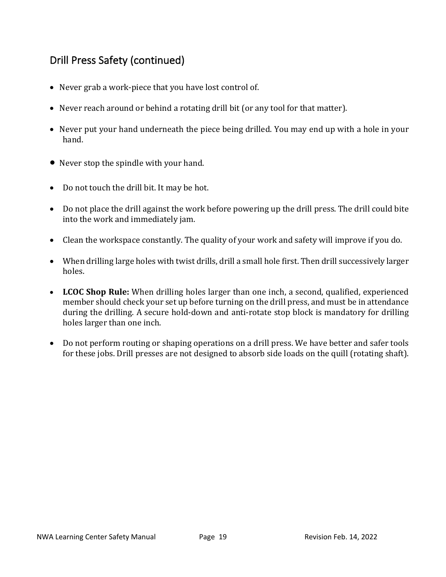# Drill Press Safety (continued)

- Never grab a work-piece that you have lost control of.
- Never reach around or behind a rotating drill bit (or any tool for that matter).
- Never put your hand underneath the piece being drilled. You may end up with a hole in your hand.
- Never stop the spindle with your hand.
- Do not touch the drill bit. It may be hot.
- Do not place the drill against the work before powering up the drill press. The drill could bite into the work and immediately jam.
- Clean the workspace constantly. The quality of your work and safety will improve if you do.
- When drilling large holes with twist drills, drill a small hole first. Then drill successively larger holes.
- LCOC Shop Rule: When drilling holes larger than one inch, a second, qualified, experienced member should check your set up before turning on the drill press, and must be in attendance during the drilling. A secure hold-down and anti-rotate stop block is mandatory for drilling holes larger than one inch.
- Do not perform routing or shaping operations on a drill press. We have better and safer tools for these jobs. Drill presses are not designed to absorb side loads on the quill (rotating shaft).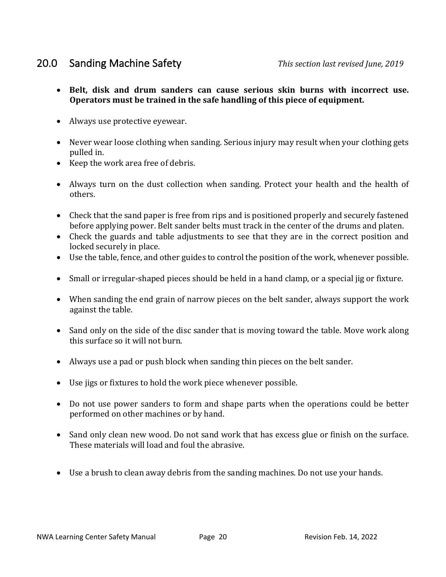# 20.0 Sanding Machine Safety *This section last revised June, 2019*

- Belt, disk and drum sanders can cause serious skin burns with incorrect use. Operators must be trained in the safe handling of this piece of equipment.
- Always use protective eyewear.
- Never wear loose clothing when sanding. Serious injury may result when your clothing gets pulled in.
- Keep the work area free of debris.
- Always turn on the dust collection when sanding. Protect your health and the health of others.
- Check that the sand paper is free from rips and is positioned properly and securely fastened before applying power. Belt sander belts must track in the center of the drums and platen.
- Check the guards and table adjustments to see that they are in the correct position and locked securely in place.
- Use the table, fence, and other guides to control the position of the work, whenever possible.
- Small or irregular-shaped pieces should be held in a hand clamp, or a special jig or fixture.
- When sanding the end grain of narrow pieces on the belt sander, always support the work against the table.
- Sand only on the side of the disc sander that is moving toward the table. Move work along this surface so it will not burn.
- Always use a pad or push block when sanding thin pieces on the belt sander.
- Use jigs or fixtures to hold the work piece whenever possible.
- Do not use power sanders to form and shape parts when the operations could be better performed on other machines or by hand.
- Sand only clean new wood. Do not sand work that has excess glue or finish on the surface. These materials will load and foul the abrasive.
- Use a brush to clean away debris from the sanding machines. Do not use your hands.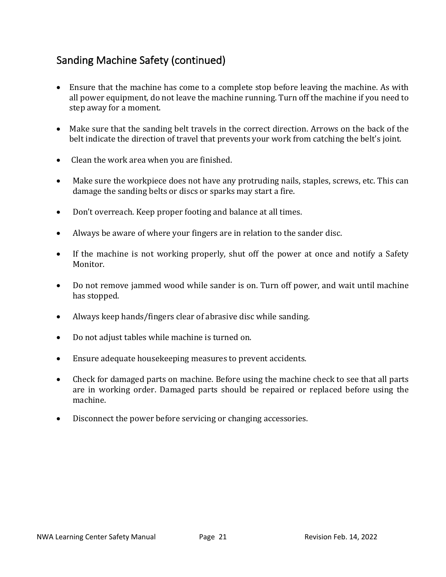# Sanding Machine Safety (continued)

- Ensure that the machine has come to a complete stop before leaving the machine. As with all power equipment, do not leave the machine running. Turn off the machine if you need to step away for a moment.
- Make sure that the sanding belt travels in the correct direction. Arrows on the back of the belt indicate the direction of travel that prevents your work from catching the belt's joint.
- Clean the work area when you are finished.
- Make sure the workpiece does not have any protruding nails, staples, screws, etc. This can damage the sanding belts or discs or sparks may start a fire.
- Don't overreach. Keep proper footing and balance at all times.
- Always be aware of where your fingers are in relation to the sander disc.
- If the machine is not working properly, shut off the power at once and notify a Safety Monitor.
- Do not remove jammed wood while sander is on. Turn off power, and wait until machine has stopped.
- Always keep hands/fingers clear of abrasive disc while sanding.
- Do not adjust tables while machine is turned on.
- Ensure adequate housekeeping measures to prevent accidents.
- Check for damaged parts on machine. Before using the machine check to see that all parts are in working order. Damaged parts should be repaired or replaced before using the machine.
- $\bullet$  Disconnect the power before servicing or changing accessories.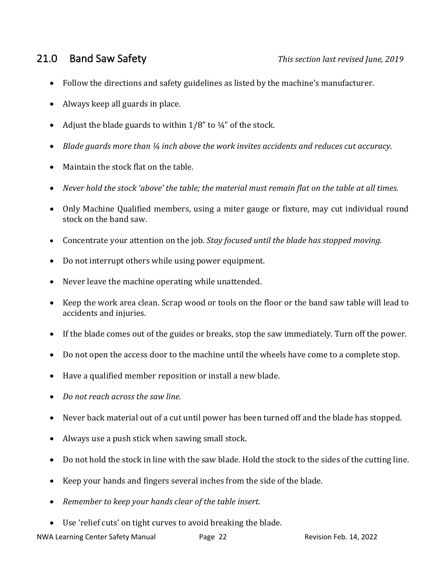# 21.0 Band Saw Safety *Pand Saw Safety This section last revised June, 2019*

- Follow the directions and safety guidelines as listed by the machine's manufacturer.
- Always keep all guards in place.
- Adjust the blade guards to within  $1/8$ " to  $\frac{1}{4}$ " of the stock.
- Blade quards more than  $\frac{1}{4}$  inch above the work invites accidents and reduces cut accuracy.
- Maintain the stock flat on the table.
- Never hold the stock 'above' the table; the material must remain flat on the table at all times.
- Only Machine Qualified members, using a miter gauge or fixture, may cut individual round stock on the band saw.
- Concentrate your attention on the job. *Stay focused until the blade has stopped moving.*
- Do not interrupt others while using power equipment.
- Never leave the machine operating while unattended.
- Keep the work area clean. Scrap wood or tools on the floor or the band saw table will lead to accidents and injuries.
- If the blade comes out of the guides or breaks, stop the saw immediately. Turn off the power.
- Do not open the access door to the machine until the wheels have come to a complete stop.
- Have a qualified member reposition or install a new blade.
- *Do not reach across the saw line.*
- Never back material out of a cut until power has been turned off and the blade has stopped.
- Always use a push stick when sawing small stock.
- Do not hold the stock in line with the saw blade. Hold the stock to the sides of the cutting line.
- Keep your hands and fingers several inches from the side of the blade.
- Remember to keep your hands clear of the table insert.
- Use 'relief cuts' on tight curves to avoid breaking the blade.

NWA Learning Center Safety Manual **Page 22** Revision Feb. 14, 2022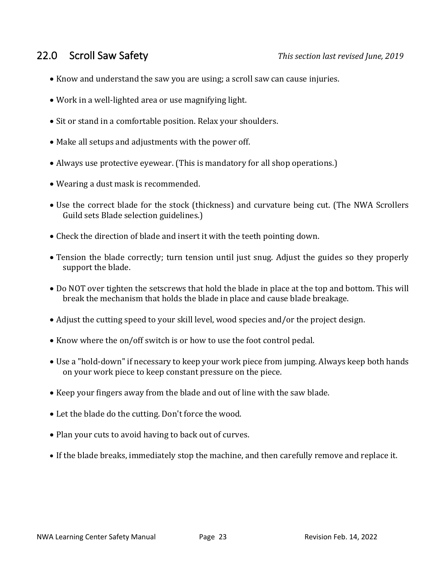# 22.0 Scroll Saw Safety *This section last revised June, 2019*

- Know and understand the saw you are using; a scroll saw can cause injuries.
- Work in a well-lighted area or use magnifying light.
- Sit or stand in a comfortable position. Relax your shoulders.
- Make all setups and adjustments with the power off.
- Always use protective eyewear. (This is mandatory for all shop operations.)
- Wearing a dust mask is recommended.
- Use the correct blade for the stock (thickness) and curvature being cut. (The NWA Scrollers Guild sets Blade selection guidelines.)
- Check the direction of blade and insert it with the teeth pointing down.
- Tension the blade correctly; turn tension until just snug. Adjust the guides so they properly support the blade.
- Do NOT over tighten the setscrews that hold the blade in place at the top and bottom. This will break the mechanism that holds the blade in place and cause blade breakage.
- Adjust the cutting speed to your skill level, wood species and/or the project design.
- Know where the on/off switch is or how to use the foot control pedal.
- Use a "hold-down" if necessary to keep your work piece from jumping. Always keep both hands on your work piece to keep constant pressure on the piece.
- Keep your fingers away from the blade and out of line with the saw blade.
- Let the blade do the cutting. Don't force the wood.
- Plan your cuts to avoid having to back out of curves.
- If the blade breaks, immediately stop the machine, and then carefully remove and replace it.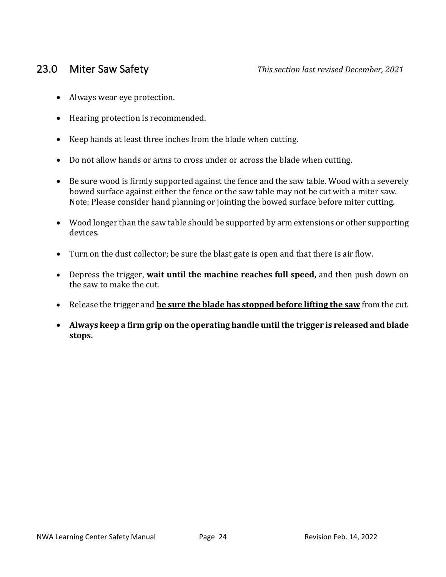- Always wear eye protection.
- Hearing protection is recommended.
- Keep hands at least three inches from the blade when cutting.
- Do not allow hands or arms to cross under or across the blade when cutting.
- Be sure wood is firmly supported against the fence and the saw table. Wood with a severely bowed surface against either the fence or the saw table may not be cut with a miter saw. Note: Please consider hand planning or jointing the bowed surface before miter cutting.
- Wood longer than the saw table should be supported by arm extensions or other supporting devices.
- Turn on the dust collector; be sure the blast gate is open and that there is air flow.
- Depress the trigger, **wait until the machine reaches full speed**, and then push down on the saw to make the cut.
- Release the trigger and **be sure the blade has stopped before lifting the saw** from the cut.
- Always keep a firm grip on the operating handle until the trigger is released and blade **stops.**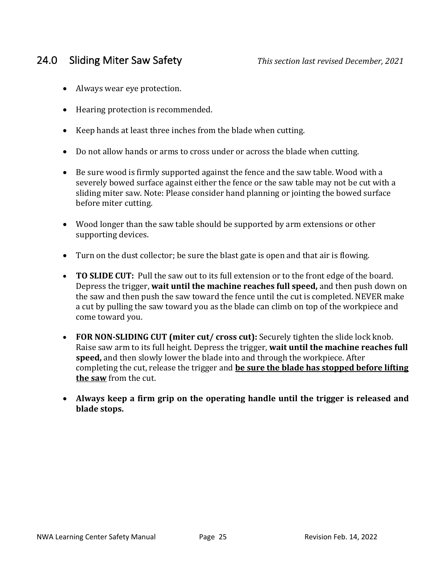# 24.0 Sliding Miter Saw Safety *This section last revised December, 2021*

- Always wear eye protection.
- Hearing protection is recommended.
- Keep hands at least three inches from the blade when cutting.
- Do not allow hands or arms to cross under or across the blade when cutting.
- Be sure wood is firmly supported against the fence and the saw table. Wood with a severely bowed surface against either the fence or the saw table may not be cut with a sliding miter saw. Note: Please consider hand planning or jointing the bowed surface before miter cutting.
- Wood longer than the saw table should be supported by arm extensions or other supporting devices.
- Turn on the dust collector; be sure the blast gate is open and that air is flowing.
- **TO SLIDE CUT:** Pull the saw out to its full extension or to the front edge of the board. Depress the trigger, **wait until the machine reaches full speed**, and then push down on the saw and then push the saw toward the fence until the cut is completed. NEVER make a cut by pulling the saw toward you as the blade can climb on top of the workpiece and come toward you.
- **FOR NON-SLIDING CUT (miter cut/ cross cut):** Securely tighten the slide lock knob. Raise saw arm to its full height. Depress the trigger, **wait until the machine reaches full speed,** and then slowly lower the blade into and through the workpiece. After completing the cut, release the trigger and **be sure the blade has stopped before lifting the saw** from the cut.
- Always keep a firm grip on the operating handle until the trigger is released and blade stops.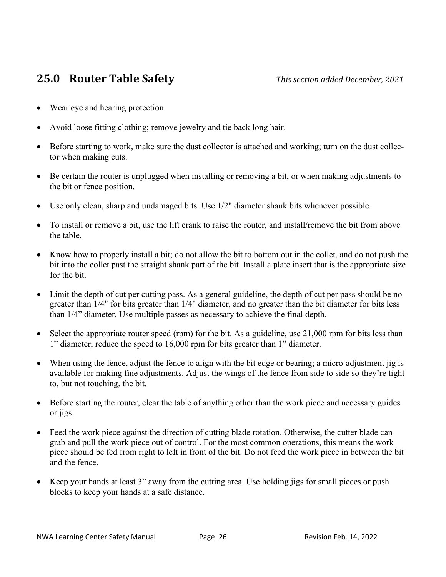# **25.0 Router Table Safety** *This section added December, 2021*

- Wear eye and hearing protection.
- Avoid loose fitting clothing; remove jewelry and tie back long hair.
- Before starting to work, make sure the dust collector is attached and working; turn on the dust collector when making cuts.
- Be certain the router is unplugged when installing or removing a bit, or when making adjustments to the bit or fence position.
- Use only clean, sharp and undamaged bits. Use 1/2" diameter shank bits whenever possible.
- To install or remove a bit, use the lift crank to raise the router, and install/remove the bit from above the table.
- Know how to properly install a bit; do not allow the bit to bottom out in the collet, and do not push the bit into the collet past the straight shank part of the bit. Install a plate insert that is the appropriate size for the bit.
- Limit the depth of cut per cutting pass. As a general guideline, the depth of cut per pass should be no greater than 1/4" for bits greater than 1/4" diameter, and no greater than the bit diameter for bits less than 1/4" diameter. Use multiple passes as necessary to achieve the final depth.
- Select the appropriate router speed (rpm) for the bit. As a guideline, use 21,000 rpm for bits less than 1" diameter; reduce the speed to 16,000 rpm for bits greater than 1" diameter.
- When using the fence, adjust the fence to align with the bit edge or bearing; a micro-adjustment jig is available for making fine adjustments. Adjust the wings of the fence from side to side so they're tight to, but not touching, the bit.
- Before starting the router, clear the table of anything other than the work piece and necessary guides or jigs.
- Feed the work piece against the direction of cutting blade rotation. Otherwise, the cutter blade can grab and pull the work piece out of control. For the most common operations, this means the work piece should be fed from right to left in front of the bit. Do not feed the work piece in between the bit and the fence.
- Keep your hands at least 3" away from the cutting area. Use holding jigs for small pieces or push blocks to keep your hands at a safe distance.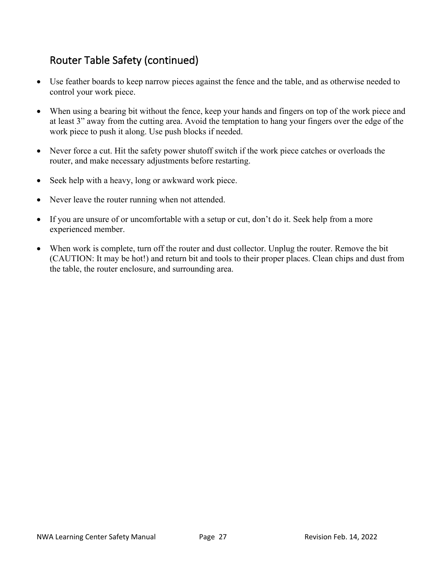# Router Table Safety (continued)

- Use feather boards to keep narrow pieces against the fence and the table, and as otherwise needed to control your work piece.
- When using a bearing bit without the fence, keep your hands and fingers on top of the work piece and at least 3" away from the cutting area. Avoid the temptation to hang your fingers over the edge of the work piece to push it along. Use push blocks if needed.
- Never force a cut. Hit the safety power shutoff switch if the work piece catches or overloads the router, and make necessary adjustments before restarting.
- Seek help with a heavy, long or awkward work piece.
- Never leave the router running when not attended.
- If you are unsure of or uncomfortable with a setup or cut, don't do it. Seek help from a more experienced member.
- When work is complete, turn off the router and dust collector. Unplug the router. Remove the bit (CAUTION: It may be hot!) and return bit and tools to their proper places. Clean chips and dust from the table, the router enclosure, and surrounding area.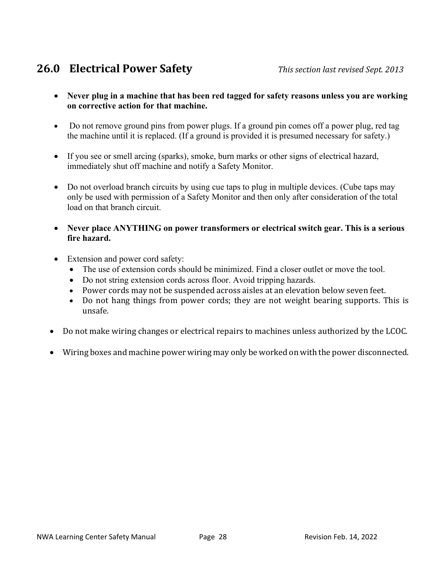# **26.0 Electrical Power Safety** *This section last revised Sept. 2013*

- **Never plug in a machine that has been red tagged for safety reasons unless you are working on corrective action for that machine.**
- Do not remove ground pins from power plugs. If a ground pin comes off a power plug, red tag the machine until it is replaced. (If a ground is provided it is presumed necessary for safety.)
- If you see or smell arcing (sparks), smoke, burn marks or other signs of electrical hazard, immediately shut off machine and notify a Safety Monitor.
- Do not overload branch circuits by using cue taps to plug in multiple devices. (Cube taps may only be used with permission of a Safety Monitor and then only after consideration of the total load on that branch circuit.
- **Never place ANYTHING on power transformers or electrical switch gear. This is a serious fire hazard.**
- Extension and power cord safety:
	- The use of extension cords should be minimized. Find a closer outlet or move the tool.
	- Do not string extension cords across floor. Avoid tripping hazards.
	- Power cords may not be suspended across aisles at an elevation below seven feet.
	- Do not hang things from power cords; they are not weight bearing supports. This is unsafe.
- Do not make wiring changes or electrical repairs to machines unless authorized by the LCOC.
- Wiring boxes and machine power wiring may only be worked on with the power disconnected.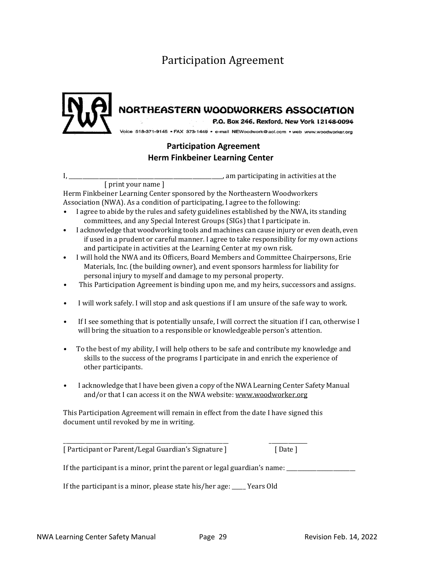# Participation Agreement



# NORTHEASTERN WOODWORKERS ASSOCIATION

P.O. Box 246, Rexford, New York 12148-0094

Voice 518-371-9145 · FAX 373-1449 · e-mail NEWoodwork@aol.com · web www.woodworker.org

### **Participation Agreement Herm Finkbeiner Learning Center**

I, \_\_\_\_\_\_\_\_\_\_\_\_\_\_\_\_\_\_\_\_\_\_\_\_\_\_\_\_\_\_\_\_\_\_\_\_\_\_\_\_\_\_\_\_\_\_\_\_\_\_\_\_\_\_\_\_, am participating in activities at the [ print your name ]

Herm Finkbeiner Learning Center sponsored by the Northeastern Woodworkers Association (NWA). As a condition of participating, I agree to the following:

- I agree to abide by the rules and safety guidelines established by the NWA, its standing committees, and any Special Interest Groups (SIGs) that I participate in.
- I acknowledge that woodworking tools and machines can cause injury or even death, even if used in a prudent or careful manner. I agree to take responsibility for my own actions and participate in activities at the Learning Center at my own risk.
- I will hold the NWA and its Officers, Board Members and Committee Chairpersons, Erie Materials, Inc. (the building owner), and event sponsors harmless for liability for personal injury to myself and damage to my personal property.
- This Participation Agreement is binding upon me, and my heirs, successors and assigns.
- I will work safely. I will stop and ask questions if I am unsure of the safe way to work.
- If I see something that is potentially unsafe, I will correct the situation if I can, otherwise I will bring the situation to a responsible or knowledgeable person's attention.
- To the best of my ability, I will help others to be safe and contribute my knowledge and skills to the success of the programs I participate in and enrich the experience of other participants.
- I acknowledge that I have been given a copy of the NWA Learning Center Safety Manual and/or that I can access it on the NWA website: www.woodworker.org

This Participation Agreement will remain in effect from the date I have signed this document until revoked by me in writing.

\_\_\_\_\_\_\_\_\_\_\_\_\_\_\_\_\_\_\_\_\_\_\_\_\_\_\_\_\_\_\_\_\_\_\_\_\_\_\_\_\_\_\_\_\_\_\_\_\_\_\_\_\_\_\_\_\_\_\_\_ \_\_\_\_\_\_\_\_\_\_\_\_\_\_

[ Participant or Parent/Legal Guardian's Signature ] [ Date ]

If the participant is a minor, print the parent or legal guardian's name: \_\_\_\_\_\_\_\_\_\_\_\_\_\_\_\_\_\_\_\_\_\_\_\_\_\_

If the participant is a minor, please state his/her age:  $\Box$  Years Old